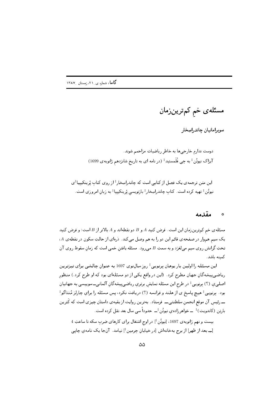مسئلەي خم كمټرينزمان

سوبرامانيان چاندراسِخار

دوست ندارم خارجی ها به خاطر ریاضیات مزاحمم شوند. آیزاک نیوتُن‡ به جِی فْلَمستید‡ (در نامه ای به تاریخ شانزدهم ژانویهی 1699)

این متن ترجمه ی یک فصل از کتابی است که چاندراسِخار‡ از روی کتاب پْرینکیپیا‡ی نیوتُن ‡ تهیه کرده است. کتاب چاندراسِخار‡ بازنویسی پْرینکیپیا‡ به زبان امروزی است.

#### مقدمه  $\circ$

مسئله ی خم کم ترین زمان این است. فرض کنید A و B دو نقطهاند و A بالاتر از B است؛ و فرض کنید یک سیم هموار در صفحهی قائم این دو را به هم وصل میکند. ذرهای از حالتِ سکون در نقطهی A، تحتِ گرانش روی سیم میلغزد و به سمتِ B میرود. مسئله یافتن خمیی است که زمان سقوط روی آن كمىنە باشد.

این مسئله را اولین بار یوهان برنویی<sup>+</sup> روز سالنوی 1697 به عنوان چالشی برای تیزترین ریاضی پیشهگانِ جهان مطرح کرد. (این در واقع یکی از دو مسئلهای بود که او طرح کرد .) منظور اصليي (؟) بِرنويي ‡ در طرح اين مسئله نمايش برتري رياضي پيشه گانِ آلماني\_سوييسي به جهانيان بود. بِرنویی ‡ هیچ پاسخ ی از هلند و فرانسه (؟) دریافت نکرد، پس مسئله را برای چارلز مُنتاگو ‡ ۔ رئیس آن موقع انجمن سلطنتی۔ فرستاد بهترین روایت از بقیهی داستان چیزی است که کَترین بارتِن (کاندویت) ‡ \_ خواهرزادهی نیوتُن ‡\_ حدوداً سی سال بعد نقل کرده است.

بیست و نهم ژانویه ی 1697، [نیوتُن ‡] در اوج اشتغال برای کارهای ضربِ سکه تا ساعتِ 4 [يـ بعد از ظهر] از برج بهخانه|ش [در خيابانِ جِرمين ‡] نيامد. آنجا يک نامهي چاپي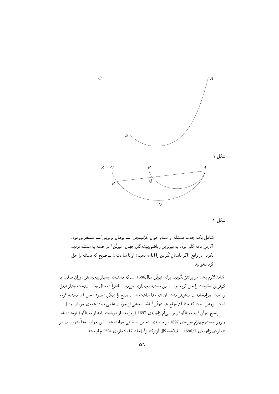

شكل ٢

شامل یک جفت مسئله از استادِ جوان خْرُنینخِن ـــ یوهان برنویی ٔــــ منتظرش بود. آدرس نامه کل<sub>ی</sub> بود: به تیزترین ریاضیپیشهگانِ جهان. نیوتُن<sup>‡</sup> در حمله به مسئله تردید نكرد. در واقع (اگر داستانِ كَترين را ادامه دهيم) او تا ساعتِ 4 ــِــ صبح كه مسئله را حل کرد نخوابید.

[شاید لازم باشد در پرانتز بگوییم برای نیوتُن سال1686 ـــ که مسئله ی بسیار پیچیدهتر دوران صلب با کمترین مقاومت را حل کرده بودــــ این مسئله بچهبازی میبود. ظاهراً ده سال بعد ــــ تحتِ فشار شغل ریاستِ ضرابخانهـــ بیشتر مدتِ آن شب تا ساعتِ 4 ــِـ صبح را نیوتُن ‡ صرفِ حل آن مسئله کرده است. روشن است که حتا آن موقع هم نیوتُن‡ فقط بخشی از جریان علمی نبود؛ همه ی جریان بود.] پاسخ نیوتُن‡ به مونتاگو‡ روزِ سی|م ژانویهی 1697 (روزِ بعد از دریافتِ نامه از مونتاگو) فرستاده شد و روز بیستوچهارُم فوریهی 1697 در جلسهی انجمن سلطنتی خوانده شد. این جواب بعداً بدون اسم در

شمارەي ژانويەي 1696/7 ــِ فيلاسُفيكال تْرَنزَكشِنز<sup>‡</sup> (جلدِ 17، شمارەي 224) چاپ شد.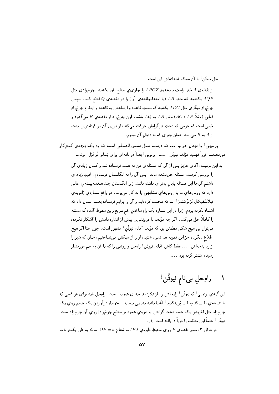حل نيوتُن أ يا آن سبکِ شاهانهاش اين است:

از نقطه ی A خطِ راستِ نامحدودِ APCZ را موازی یِ سطح افق بکشید. چرخزادی مثل بکشید که خطِ AB (یا امتدادیافتهی آن) را در نقطهی Q قطع کند. سیس AB چرخرادِ دیگری مثل ADC بکشید که نسبتِ قاعده و ارتفاعش به قاعده و ارتفاع چرخرادِ قبلمی (مثلاً AB) (AC : AP) مثل AB به 4Q باشد. این چرخزاد از نقطهی B میگذرد و خمی است که جرمی که تحتِ اثرِ گرانش حرکت میکند، از طریق آن در کوتاهترین مدت از A به B می رسد؛ همان چیزی که به دنبال آن بودیم.

برنوييي ‡ با ديدن جواب ســـ که درست مثل دستورالعملي است که بـه يـک بـچـهي کنـجکاو مىدهندـــ فوراً فهميد مؤلف نيوتُن ‡ است. بِرنويي ‡ بعداً در نامهاى براى بَسانژ دُو بُوَل ‡ نوشت:

به این ترتیب، آقای عزیز پس از آن که مسئلهی من به هلند فرستاده شد و کسان زیادی آن را بررسی کردند، مسئله حلنشده ماند. پس آن را به انگلستان فرستادم. امیدِ زیاد ی داشتم آنجا این مسئله پایان بهتر ی داشته باشد، زیرا انگلستان چند هندسهپیشهی عالی دارد که روشهای ما یا روشهای مشابهی را به کار میبرند. در واقع شمارهی ژانویهی فیلاسُفیکال تْرَنرَکشِنر<sup>َ‡</sup> ـــ که محبت کردهاید و آن را برایم فرستادهایدــــ نشان داد که اشتباه نکرده بودم، زیرا در این شماره یک راهِ ساختن خم سریعترین سقوط آمده که مسئله را کاملاً حل میکند. اگر چه مؤلف با فروتنیی بیش از اندازه نامش را آشکار نکرده، میتوان بی هیچ شکی مطمئن بود که مؤلف آقای نیوتُن‡ مشهور است: چون حتا اگر هیچ اطلاع دیگری جز این نمونه هم نمیداشتیم، او را از سبکش میشناختیم، چنان که شیر را از ردِ پنجهاش. ... فقط کاش آقای نیوتُن‡ راوحل و روشی را که با آن به خم موردِنظر رسیده منتشر کرده بود ....

# راوحلِ بينام نيوتُن ‡

این گلهی برنویی<sup>‡</sup> که نیوتُن ‡ راهِحلش را باز نکرده تا حد ی عجیب است. راهِحل باید برای هر کسی که با نتیجهی L ـِ کتاب I ـِ پْرینکیپیا‡ آشنا باشد بدیهی بنماید: بهنوساندرآوردن یک جسم روی یک چرخراد مثلِ لغزيدنِ يک جسم تحتِ گرانش او نيروي عمود بر سطح چرخراد] روي آن چرخراد است. نيوتُن ‡ حتماً اين مطلب را فوراً دريافته است [١]. در شکل ۳، مسیر نقطه $P$  روی محیطِ دایره $J$  با به شعاع  $\rho = O$  ـــ که به طور یکنواخت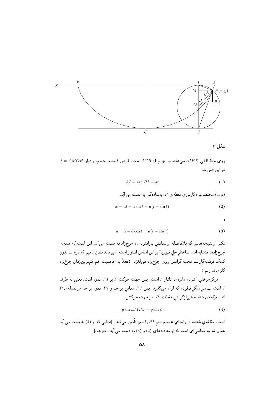

شکل ۳

 $\lambda t = \angle MOP$  روى خطِ افقى  $AIBX$  مىغلتدـــ چرخزادِ ACB است. فرض كنيد بر حسبِ راديان در این صورت

$$
AI = \text{arc } PI = at \tag{1}
$$

نیه، دستصات د کارتی ی نفط*هی* م. بمسادهگی به دست می آید: 
$$
(x, y)
$$

$$
x = at - a\sin t = a(t - \sin t)
$$
\n<sup>(2)</sup>

و

$$
y = a - a\cos t = a(t - \cos t) \tag{3}
$$

یکی از نتیجههایی که بلافاصله از نمایش پارامتری ی چرخ زاد به دست می آید این است که همه ی چرخرادها متشابه اند. ساختار حل نیوتُن‡ بر این اساس استوار است. میماند نشان دهیم که دره ـــ بدونِ كمكِ فرشتهگانــــ تحتِ گرانش روي چرخزاد مىلغزد. (فعلاً به خاصيتِ خم كمترينزمانِ چرخزاد کاری نداریم )

مرکزِچرخشِ آنی ِی دایره یِ غلتان I است. پس جهتِ حرکتِ P بر PI عمود است، یعنی به طرفِ  $P$  است ـــــ سر دیگر قطری که از I میگذرد. پس PJ مماس بر خم و PI عمود بر خم در نقطه $J$ اند. مؤلفهی شتابناشیازگرانش نقطهی P، در جهتِ حرکتش

$$
g\sin\angle MPJ = g\sin\psi\tag{4}
$$

است. مؤلفهءِ شتاب در راستايِ عمودبرسيم PI را سيم تأمين میکند. [شتابی که از (4) به دست می آيد همان شتابِ مماسیای است که از معادلههای (2) و (3) به دست می آید. مترجم.]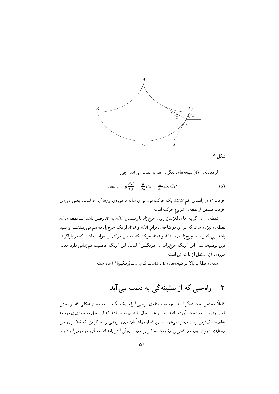

شکل ۴

از معادله ی (4) نتیجههای دیگر ی هم به دست می آید. چون

$$
g\sin\psi = g\frac{PJ}{IJ} = \frac{g}{2a}PJ = \frac{g}{4a}\text{arc }CP\tag{5}
$$

حرکت P در راستاي خم ACB يک حرکتِ نوساني ي ساده با دورهي  $\sqrt{4a/g}$  است. يعني دورهي حركت مستقل از نقطهى شروع حركت است.

 $A'$  نقطه $B$  ، اگر به جاي لغزيدن روي چرخزاد با ريسمانِ  $A'C$  به  $A'$  وصل باشد ـــــ نقطهي نقطه ی تیزی است که در آن دو شاخه ی برابر A'A و A'B از یک چرخ زاد به هم میرسندــــ و مقید باشد بین کمانهای چرخزادی ی A'A و A'B حرکت کند، همان حرکتی را خواهد داشت که در یاراگرافِ قبل توصیف شد. این آونگِ چرخزادی، هویگِنس‡است. این آونگ خاصیتِ همزمانی دارد، یعنی دوروی آن مستقل از دامنهاش است.

همه ی مطالب بالا در نتیجههای L تا LII ــِ کتاب I ــِ پْرینکیپیا $^{\ddagger}$  آمده است.

### راوحلی که از بیشینهگی به دست می آید ٢

کاملاً محتمل است نیوتُن ‡ ابتدا جوابِ مسئلهی برنویی ‡ را با یک نگاه ـــ به همان شکلی که در بخش قبل دیدیمـــ به دست آورده باشد، اما در عین حال باید فهمیده باشد که این حل به خودی،خود به خاصیتِ کمترین زمان منجر نمیشود؛ و این که او نهایتاً باید همان روشی را به کار بَرَد که قبلاً برای حل مسئلهی دوران صلب با کمترین مقاومت به کار برده بود. نیوتُن‡ در نامه ای به فَتیو دو دوییر‡ و دِیوید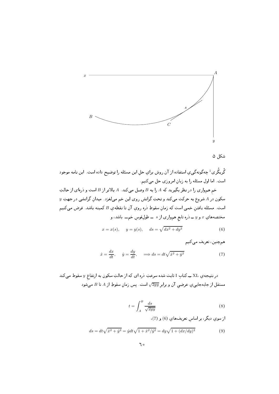

شکل ۵

گْریگُری <sup>‡</sup> چهگونهگییِ استفاده از آن روش برایِ حلِ این مسئله را توضیح داده است. این نامه موجود است. اما اول مسئله را به زبان امروزی حل میکنیم.

خم همواري را در نظر بگيريد كه A را به B وصل ميكند. A بالاتر از B است و ذرهاي از حالت  $y$  سکون در A شروع به حرکت میکند و تحتِ گرانش روی این خم میلغزد. میدان گرانشی در جهتِ است. مسئله یافتن خمی است که زمان سقوطِ دره روی آن تا نقطهی B کمینه باشد. فرض میکنیم مختصههاي  $x$  و  $y$  ــِ دره تابع هموارى از  $s$  ـــ طولِقوسِ خمـــ باشد، و

$$
x = x(s)
$$
,  $y = y(s)$ ,  $ds = \sqrt{dx^2 + dy^2}$  (6)

همچنين، تعريف مي کنيم

$$
\dot{x} = \frac{dx}{dt}, \quad \dot{y} = \frac{dy}{dt}, \quad \implies ds = dt\sqrt{\dot{x}^2 + \dot{y}^2} \tag{7}
$$

در نتیجه ی XL ــِـ کتابِ I ثابت شده سرعتِ دره ای که از حالتِ سکون به ارتفاع  $y$  سقوط میکند مستقل از جابهجايي ي عرضي آن و برابر  $\sqrt{2gy}$  است. پس زمانِ سقوطِ از A تا B ميشود

$$
t = \int_{A}^{B} \frac{ds}{\sqrt{2gy}}\tag{8}
$$

از سوی دیگر، بر اساس تعریفهای (6) و (7)،

$$
ds = dt\sqrt{\dot{x}^2 + \dot{y}^2} = \dot{y}dt\sqrt{1 + \dot{x}^2/\dot{y}^2} = dy\sqrt{1 + (dx/dy)^2}
$$
(9)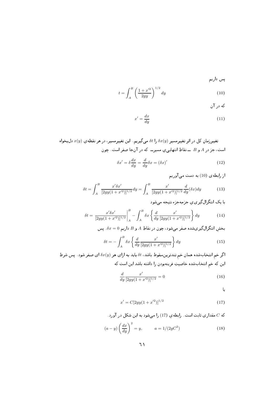پس داریم

$$
t = \int_{A}^{B} \left(\frac{1+x'^2}{2gy}\right)^{1/2} dy
$$
 (10)

که در آن

$$
x' = \frac{dx}{dy} \tag{11}
$$

تغييرزمانِ كل در اثر تغييرمسير  $\delta x(y)$  را  $\delta t$  مىگيريم. اين تغييرمسير، در هر نقطه ي  $x(y)$  دل بخواه است، جز در A و B ـــ نقاطِ انتهایی ی مسیرـــ که در آنجا صفر است. چون

$$
\delta x' = \delta \frac{dx}{dy} = \frac{d}{dy} \delta x = (\delta x)'
$$
\n(12)

از رابطه ی (10) به دست می آوریم

$$
\delta t = \int_{A}^{B} \frac{x' \delta x'}{[2gy(1+x'^2)]^{1/2}} dy = \int_{A}^{B} \frac{x'}{[2gy(1+x'^2)]^{1/2}} \frac{d}{dy} (\delta x) dy \tag{13}
$$

با یک انتگرال گیری ی جزءبهجزء نتیجه میشود

$$
\delta t = \frac{x'\delta x'}{[2gy(1+x'^2)]^{1/2}}\bigg|_{A}^{B} - \int_{A}^{B} \delta x \left\{\frac{d}{dy}\frac{x'}{[2gy(1+x'^2)]^{1/2}}\right\} dy
$$
(14)

بخش انتگرال گیریشده صفر میشود، چون در نقاطِ A و B داریم  $x=0$ . پس

$$
\delta t = -\int_{A}^{B} \delta x \left\{ \frac{d}{dy} \frac{x'}{[2gy(1+x'^2)]^{1/2}} \right\} dy \tag{15}
$$

اگر خم انتخابشده همان خم تندترینسقوط باشد،  $\delta t$  باید به ازای هر  $\delta x(y)$  ای صفر شود . پس شرطِ این که خم انتخابشده خاصیتِ فرینهبودن را داشته باشد این است که

$$
\frac{d}{dy}\frac{x'}{[2gy(1+x'^2)]^{1/2}} = 0\tag{16}
$$

یا

$$
x' = C[2gy(1+x'^2)]^{1/2}
$$
 (17)

که  $C$  مقداری ثابت است. رابطهی (17) را میشود به این شکل در آورد.

$$
(a-y)\left(\frac{dx}{dy}\right)^2 = y, \qquad a = 1/(2gC^2)
$$
\n(18)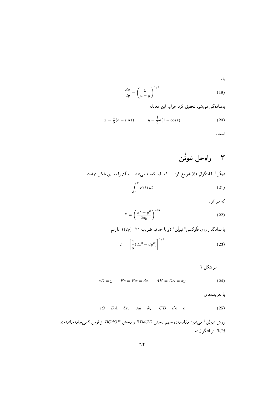یا،

$$
\frac{dx}{dy} = \left(\frac{y}{a-y}\right)^{1/2} \tag{19}
$$

بهساده گی می شود تحقیق کرد جواب این معادله

$$
x = \frac{1}{2}(a - \sin t), \qquad y = \frac{1}{2}a(1 - \cos t)
$$
 (20)

است.

## ۲ راوحلِ نيوتُن نیوتُن ‡ با انتگرالِ (8) شروع کرد ًکه باید کمینه میشدـــ و آن را به این شکل نوشت.  $\int_{0}^{\tau} F(t) dt$  $(21)$

که در آن،

$$
F = \left(\frac{\dot{x}^2 + \dot{y}^2}{2gy}\right)^{1/2} \tag{22}
$$

با نمادگذاري ي فْلوكسي ‡ نيوتُن ‡ (و با حذفِ ضريب 1⁄2- $(2g)^{-1/2}$ )، داريم  $F = \left[\frac{1}{y}(dx^2 + dy^2)\right]^{1/2}$  $(23)$ 

در شکل ٦

$$
eD = y, \qquad Ee = B\alpha = dx, \qquad AH = D\alpha = dy \tag{24}
$$

با تعریفهای

$$
eG = DA = \delta x, \quad Ad = \delta y, \quad CD = e'e = \epsilon \tag{25}
$$

روش نيوتُن ‡ مىشود مقايسەي سهم بخش  $BD d G E$  و بخشِ  $B D d G$  از قوسِ كمىجابەجاشدەي د, انتگرال $\emph{ }$ ده .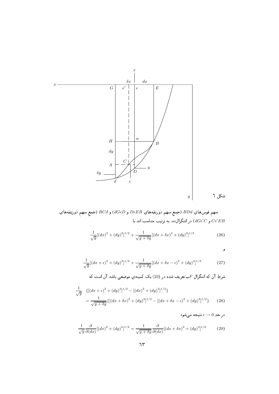

سهمٍ قوسهاي  $B D d$  (جمعٍ سهمٍ ذورنقههاي  $DEB$  و  $dGeD$ ) و  $B C d$  (جمعٍ سهمٍ ذورنقههاي و  $dGe'C$  در انتگرال(ه، به ترتیب متناسب اند با  $Ce^{\prime}EB$ 

$$
\frac{1}{\sqrt{y}}[(dx)^2 + (dy)^2]^{1/2} + \frac{1}{\sqrt{y+\delta y}}[(dx+\delta x)^2 + (dy)^2]^{1/2}
$$
 (26)

2

در حدِ  $\epsilon \to 0$  نتيجه مىشود

$$
\frac{1}{\sqrt{y}}[(dx+\epsilon)^2 + (dy)^2]^{1/2} + \frac{1}{\sqrt{y+\delta y}}[(dx+\delta x - \epsilon)^2 + (dy)^2]^{1/2}
$$
(27)

6 3I - &\ "?6 > (23c 0 - F & {{ {F R @ 6 3I 

$$
\frac{1}{\sqrt{y}} \left\{ \left[ (dx + \epsilon)^2 + (dy)^2 \right]^{1/2} - \left[ (dx)^2 + (dy)^2 \right]^{1/2} \right\}
$$
\n
$$
= \frac{1}{\sqrt{y + \delta y}} \left\{ \left[ (dx + \delta x)^2 + (dy)^2 \right]^{1/2} - \left[ (dx + \delta x - \epsilon)^2 + (dy)^2 \right]^{1/2} \right\} \tag{28}
$$

 $\frac{1}{\sqrt{y}} \frac{\partial}{\partial (d)}$  $\frac{\partial}{\partial (dx)}[(dx)^2 + (dy)^2]^{1/2} = \frac{1}{\sqrt{y + \delta y}} \frac{\partial}{\partial (dx)}$  $\frac{\partial}{\partial (dx)}[(dx + \delta x)^2 + (dy)^2]$  $(29)$